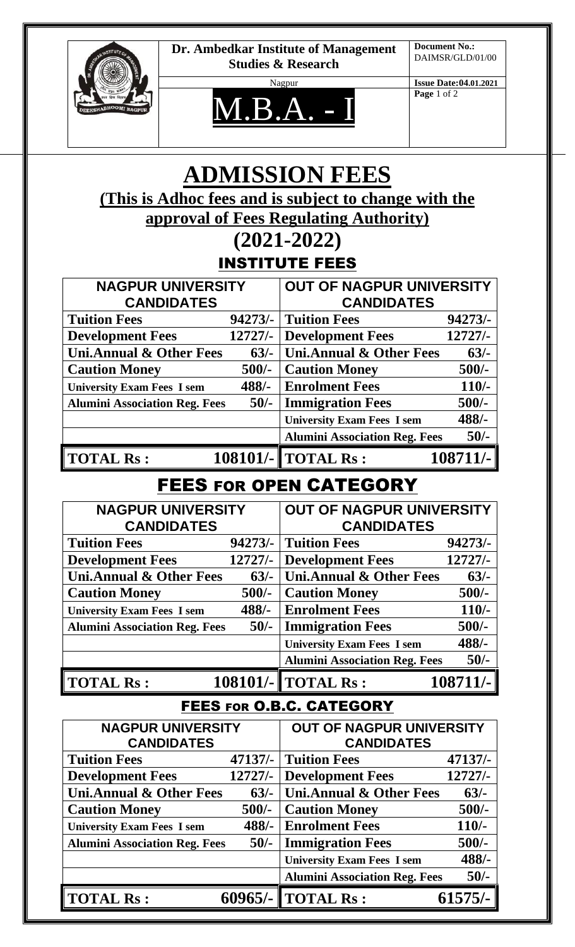

**Dr. Ambedkar Institute of Management Studies & Research**



Nagpur **Issue Date:04.01.2021 Page** 1 of 2

# **ADMISSION FEES (This is Adhoc fees and is subject to change with the approval of Fees Regulating Authority)**

#### **(2021-2022)** INSTITUTE FEES

|                                               |           | INGIIIUIE FEEG                                       |           |
|-----------------------------------------------|-----------|------------------------------------------------------|-----------|
| <b>NAGPUR UNIVERSITY</b><br><b>CANDIDATES</b> |           | <b>OUT OF NAGPUR UNIVERSITY</b><br><b>CANDIDATES</b> |           |
|                                               |           |                                                      |           |
| <b>Development Fees</b>                       | $12727/-$ | <b>Development Fees</b>                              | $12727/-$ |
| <b>Uni.Annual &amp; Other Fees</b>            | $63/-$    | Uni.Annual & Other Fees                              | $63/-$    |
| <b>Caution Money</b>                          | $500/-$   | <b>Caution Money</b>                                 | $500/-$   |
| <b>University Exam Fees I sem</b>             | $488/-$   | <b>Enrolment Fees</b>                                | $110/-$   |
| <b>Alumini Association Reg. Fees</b>          | $50/-$    | <b>Immigration Fees</b>                              | $500/-$   |
|                                               |           | <b>University Exam Fees I sem</b>                    | 488/-     |
|                                               |           | <b>Alumini Association Reg. Fees</b>                 | $50/-$    |
| <b>TOTAL Rs:</b>                              |           | <b>108101/- TOTAL Rs:</b>                            | 108711/-  |

### FEES FOR OPEN CATEGORY

| <b>NAGPUR UNIVERSITY</b>             |           | <b>OUT OF NAGPUR UNIVERSITY</b>      |           |
|--------------------------------------|-----------|--------------------------------------|-----------|
| <b>CANDIDATES</b>                    |           | <b>CANDIDATES</b>                    |           |
| <b>Tuition Fees</b>                  | $94273/-$ | <b>Tuition Fees</b>                  | $94273/-$ |
| <b>Development Fees</b>              | $12727/-$ | <b>Development Fees</b>              | $12727/-$ |
| <b>Uni.Annual &amp; Other Fees</b>   | $63/-$    | Uni.Annual & Other Fees              | $63/-$    |
| <b>Caution Money</b>                 | $500/-$   | <b>Caution Money</b>                 | $500/-$   |
| <b>University Exam Fees I sem</b>    | $488/-$   | <b>Enrolment Fees</b>                | $110/-$   |
| <b>Alumini Association Reg. Fees</b> | $50/-$    | <b>Immigration Fees</b>              | $500/-$   |
|                                      |           | <b>University Exam Fees I sem</b>    | 488/-     |
|                                      |           | <b>Alumini Association Reg. Fees</b> | $50/-$    |
| <b>TOTAL Rs:</b>                     |           | 108101/-   TOTAL Rs:                 | 108711/-  |

### FEES FOR O.B.C. CATEGORY

| <b>NAGPUR UNIVERSITY</b>             |           | OUT OF NAGPUR UNIVERSITY             |           |
|--------------------------------------|-----------|--------------------------------------|-----------|
| <b>CANDIDATES</b>                    |           | <b>CANDIDATES</b>                    |           |
| <b>Tuition Fees</b>                  | $47137/-$ | <b>Tuition Fees</b>                  | $47137/-$ |
| <b>Development Fees</b>              | $12727/-$ | <b>Development Fees</b>              | $12727/-$ |
| <b>Uni.Annual &amp; Other Fees</b>   | $63/-$    | Uni.Annual & Other Fees              | $63/-$    |
| <b>Caution Money</b>                 | $500/-$   | <b>Caution Money</b>                 | $500/-$   |
| <b>University Exam Fees I sem</b>    | 488/-     | <b>Enrolment Fees</b>                | $110/-$   |
| <b>Alumini Association Reg. Fees</b> | $50/-$    | <b>Immigration Fees</b>              | $500/-$   |
|                                      |           | <b>University Exam Fees I sem</b>    | 488/-     |
|                                      |           | <b>Alumini Association Reg. Fees</b> | $50/-$    |
| <b>TOTAL Rs:</b>                     | $60965/-$ | <b>TOTAL Rs:</b>                     | $61575/-$ |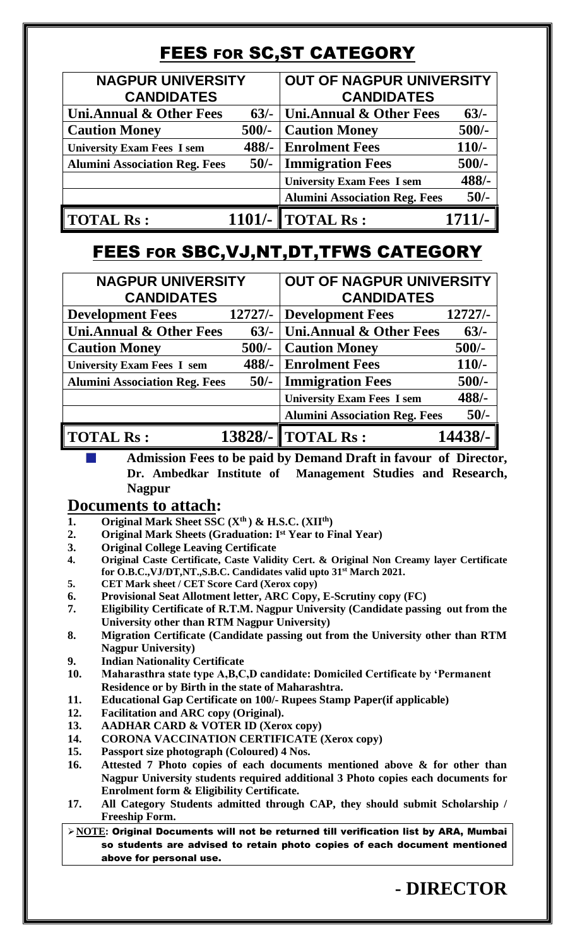# **FEES FOR SC, ST CATEGORY**

| <b>NAGPUR UNIVERSITY</b><br><b>CANDIDATES</b> |         | <b>OUT OF NAGPUR UNIVERSITY</b><br><b>CANDIDATES</b> |          |
|-----------------------------------------------|---------|------------------------------------------------------|----------|
| Uni.Annual & Other Fees                       | $63/-$  | <b>Uni.Annual &amp; Other Fees</b>                   | $63/-$   |
| <b>Caution Money</b>                          | $500/-$ | <b>Caution Money</b>                                 | $500/-$  |
| <b>University Exam Fees I sem</b>             | 488/-   | <b>Enrolment Fees</b>                                | $110/-$  |
| <b>Alumini Association Reg. Fees</b>          | $50/-$  | <b>Immigration Fees</b>                              | $500/-$  |
|                                               |         | <b>University Exam Fees I sem</b>                    | $488/-$  |
|                                               |         | <b>Alumini Association Reg. Fees</b>                 | $50/-$   |
| <b>TOTAL Rs:</b>                              |         | 1101/- $\ $ TOTAL Rs :                               | $1711/-$ |

## FEES FOR SBC,VJ,NT,DT,TFWS CATEGORY

| <b>NAGPUR UNIVERSITY</b><br><b>CANDIDATES</b> |           | <b>OUT OF NAGPUR UNIVERSITY</b><br><b>CANDIDATES</b> |           |
|-----------------------------------------------|-----------|------------------------------------------------------|-----------|
| <b>Development Fees</b>                       | $12727/-$ | <b>Development Fees</b>                              | $12727/-$ |
| <b>Uni.Annual &amp; Other Fees</b>            | $63/-$    | <b>Uni.Annual &amp; Other Fees</b>                   | $63/-$    |
| <b>Caution Money</b>                          | $500/-$   | <b>Caution Money</b>                                 | $500/-$   |
| <b>University Exam Fees I sem</b>             | $488/-$   | <b>Enrolment Fees</b>                                | $110/-$   |
| <b>Alumini Association Reg. Fees</b>          | $50/-$    | <b>Immigration Fees</b>                              | $500/-$   |
|                                               |           | <b>University Exam Fees I sem</b>                    | 488/-     |
|                                               |           | <b>Alumini Association Reg. Fees</b>                 | $50/-$    |
| <b>TOTAL Rs:</b>                              |           | 13828/- TOTAL Rs:                                    | 14438/-   |

**Admission Fees to be paid by Demand Draft in favour of Director, Dr. Ambedkar Institute of Management Studies and Research, Nagpur** 

#### **Documents to attach:**

- **1. Original Mark Sheet SSC (Xth ) & H.S.C. (XIIth)**
- **2. Original Mark Sheets (Graduation: Ist Year to Final Year)**
- **3. Original College Leaving Certificate**
- **4. Original Caste Certificate, Caste Validity Cert. & Original Non Creamy layer Certificate for O.B.C.,VJ/DT,NT.,S.B.C. Candidates valid upto 31st March 2021.**
- **5. CET Mark sheet / CET Score Card (Xerox copy)**
- **6. Provisional Seat Allotment letter, ARC Copy, E-Scrutiny copy (FC)**
- **7. Eligibility Certificate of R.T.M. Nagpur University (Candidate passing out from the University other than RTM Nagpur University)**
- **8. Migration Certificate (Candidate passing out from the University other than RTM Nagpur University)**
- **9. Indian Nationality Certificate**
- **10. Maharasthra state type A,B,C,D candidate: Domiciled Certificate by 'Permanent Residence or by Birth in the state of Maharashtra.**
- **11. Educational Gap Certificate on 100/- Rupees Stamp Paper(if applicable)**
- **12. Facilitation and ARC copy (Original).**
- **13. AADHAR CARD & VOTER ID (Xerox copy)**
- **14. CORONA VACCINATION CERTIFICATE (Xerox copy)**
- **15. Passport size photograph (Coloured) 4 Nos.**
- **16. Attested 7 Photo copies of each documents mentioned above & for other than Nagpur University students required additional 3 Photo copies each documents for Enrolment form & Eligibility Certificate.**
- **17. All Category Students admitted through CAP, they should submit Scholarship / Freeship Form.**

➢**NOTE:** Original Documents will not be returned till verification list by ARA, Mumbai so students are advised to retain photo copies of each document mentioned above for personal use.

**- DIRECTOR**